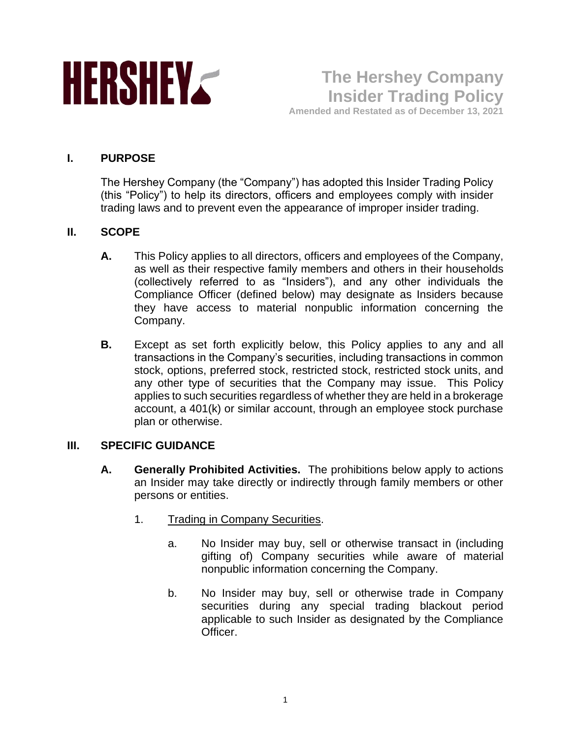

**The Hershey Company Insider Trading Policy Amended and Restated as of December 13, 2021**

### **I. PURPOSE**

The Hershey Company (the "Company") has adopted this Insider Trading Policy (this "Policy") to help its directors, officers and employees comply with insider trading laws and to prevent even the appearance of improper insider trading.

### **II. SCOPE**

- **A.** This Policy applies to all directors, officers and employees of the Company, as well as their respective family members and others in their households (collectively referred to as "Insiders"), and any other individuals the Compliance Officer (defined below) may designate as Insiders because they have access to material nonpublic information concerning the Company.
- **B.** Except as set forth explicitly below, this Policy applies to any and all transactions in the Company's securities, including transactions in common stock, options, preferred stock, restricted stock, restricted stock units, and any other type of securities that the Company may issue. This Policy applies to such securities regardless of whether they are held in a brokerage account, a 401(k) or similar account, through an employee stock purchase plan or otherwise.

### **III. SPECIFIC GUIDANCE**

- **A. Generally Prohibited Activities.** The prohibitions below apply to actions an Insider may take directly or indirectly through family members or other persons or entities.
	- 1. Trading in Company Securities.
		- a. No Insider may buy, sell or otherwise transact in (including gifting of) Company securities while aware of material nonpublic information concerning the Company.
		- b. No Insider may buy, sell or otherwise trade in Company securities during any special trading blackout period applicable to such Insider as designated by the Compliance Officer.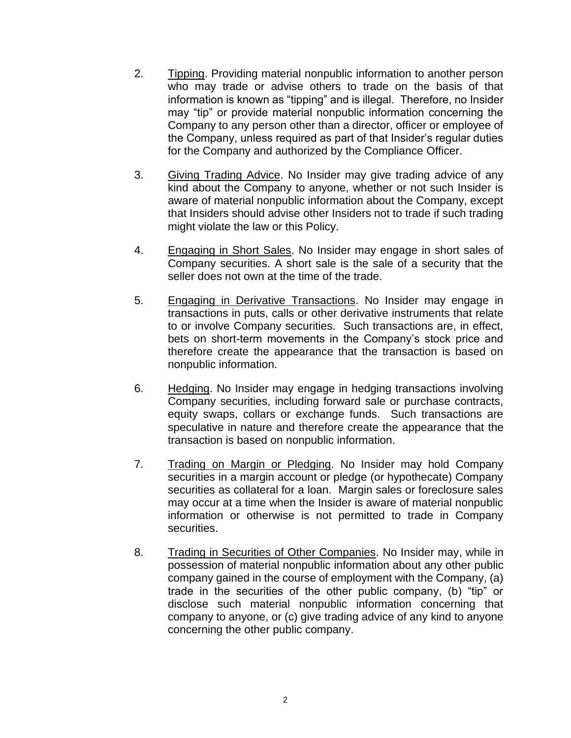- 2. Tipping. Providing material nonpublic information to another person who may trade or advise others to trade on the basis of that information is known as "tipping" and is illegal. Therefore, no Insider may "tip" or provide material nonpublic information concerning the Company to any person other than a director, officer or employee of the Company, unless required as part of that Insider's regular duties for the Company and authorized by the Compliance Officer.
- 3. Giving Trading Advice. No Insider may give trading advice of any kind about the Company to anyone, whether or not such Insider is aware of material nonpublic information about the Company, except that Insiders should advise other Insiders not to trade if such trading might violate the law or this Policy.
- 4. Engaging in Short Sales. No Insider may engage in short sales of Company securities. A short sale is the sale of a security that the seller does not own at the time of the trade.
- 5. Engaging in Derivative Transactions. No Insider may engage in transactions in puts, calls or other derivative instruments that relate to or involve Company securities. Such transactions are, in effect, bets on short-term movements in the Company's stock price and therefore create the appearance that the transaction is based on nonpublic information.
- 6. Hedging. No Insider may engage in hedging transactions involving Company securities, including forward sale or purchase contracts, equity swaps, collars or exchange funds. Such transactions are speculative in nature and therefore create the appearance that the transaction is based on nonpublic information.
- 7. Trading on Margin or Pledging. No Insider may hold Company securities in a margin account or pledge (or hypothecate) Company securities as collateral for a loan. Margin sales or foreclosure sales may occur at a time when the Insider is aware of material nonpublic information or otherwise is not permitted to trade in Company securities.
- 8. Trading in Securities of Other Companies. No Insider may, while in possession of material nonpublic information about any other public company gained in the course of employment with the Company, (a) trade in the securities of the other public company, (b) "tip" or disclose such material nonpublic information concerning that company to anyone, or (c) give trading advice of any kind to anyone concerning the other public company.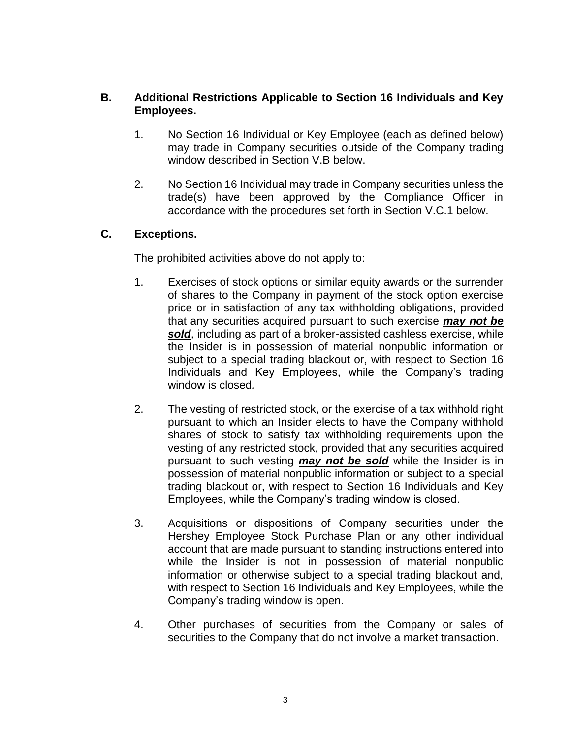## **B. Additional Restrictions Applicable to Section 16 Individuals and Key Employees.**

- 1. No Section 16 Individual or Key Employee (each as defined below) may trade in Company securities outside of the Company trading window described in Section V.B below.
- 2. No Section 16 Individual may trade in Company securities unless the trade(s) have been approved by the Compliance Officer in accordance with the procedures set forth in Section V.C.1 below.

# **C. Exceptions.**

The prohibited activities above do not apply to:

- 1. Exercises of stock options or similar equity awards or the surrender of shares to the Company in payment of the stock option exercise price or in satisfaction of any tax withholding obligations, provided that any securities acquired pursuant to such exercise *may not be sold*, including as part of a broker-assisted cashless exercise, while the Insider is in possession of material nonpublic information or subject to a special trading blackout or, with respect to Section 16 Individuals and Key Employees, while the Company's trading window is closed*.*
- 2. The vesting of restricted stock, or the exercise of a tax withhold right pursuant to which an Insider elects to have the Company withhold shares of stock to satisfy tax withholding requirements upon the vesting of any restricted stock, provided that any securities acquired pursuant to such vesting *may not be sold* while the Insider is in possession of material nonpublic information or subject to a special trading blackout or, with respect to Section 16 Individuals and Key Employees, while the Company's trading window is closed.
- 3. Acquisitions or dispositions of Company securities under the Hershey Employee Stock Purchase Plan or any other individual account that are made pursuant to standing instructions entered into while the Insider is not in possession of material nonpublic information or otherwise subject to a special trading blackout and, with respect to Section 16 Individuals and Key Employees, while the Company's trading window is open.
- 4. Other purchases of securities from the Company or sales of securities to the Company that do not involve a market transaction.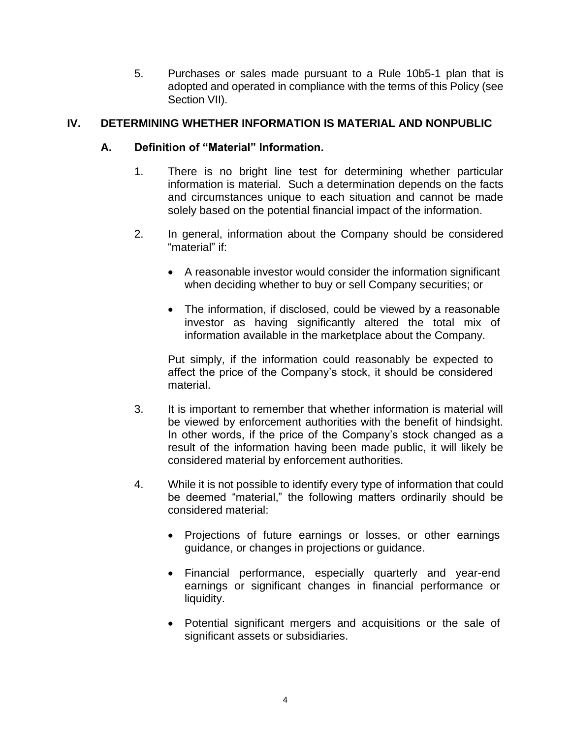5. Purchases or sales made pursuant to a Rule 10b5-1 plan that is adopted and operated in compliance with the terms of this Policy (see Section VII).

# **IV. DETERMINING WHETHER INFORMATION IS MATERIAL AND NONPUBLIC**

### **A. Definition of "Material" Information.**

- 1. There is no bright line test for determining whether particular information is material. Such a determination depends on the facts and circumstances unique to each situation and cannot be made solely based on the potential financial impact of the information.
- 2. In general, information about the Company should be considered "material" if:
	- A reasonable investor would consider the information significant when deciding whether to buy or sell Company securities; or
	- The information, if disclosed, could be viewed by a reasonable investor as having significantly altered the total mix of information available in the marketplace about the Company.

Put simply, if the information could reasonably be expected to affect the price of the Company's stock, it should be considered material.

- 3. It is important to remember that whether information is material will be viewed by enforcement authorities with the benefit of hindsight. In other words, if the price of the Company's stock changed as a result of the information having been made public, it will likely be considered material by enforcement authorities.
- 4. While it is not possible to identify every type of information that could be deemed "material," the following matters ordinarily should be considered material:
	- Projections of future earnings or losses, or other earnings guidance, or changes in projections or guidance.
	- Financial performance, especially quarterly and year-end earnings or significant changes in financial performance or liquidity.
	- Potential significant mergers and acquisitions or the sale of significant assets or subsidiaries.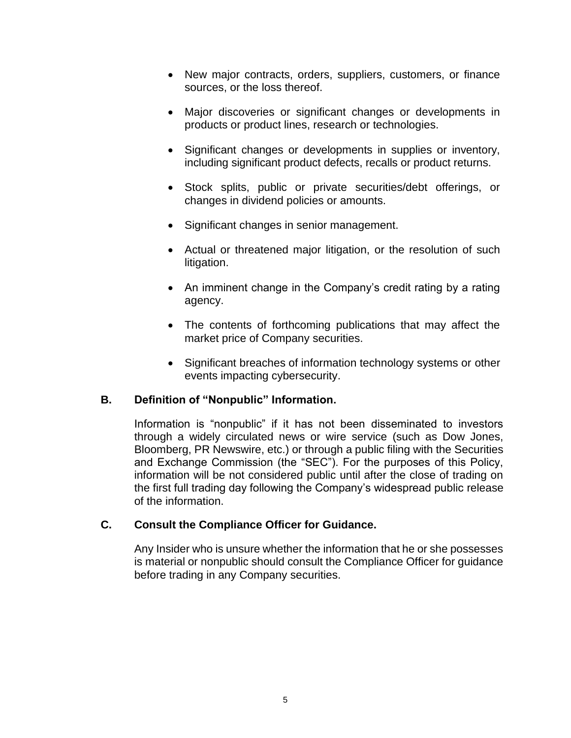- New major contracts, orders, suppliers, customers, or finance sources, or the loss thereof.
- Major discoveries or significant changes or developments in products or product lines, research or technologies.
- Significant changes or developments in supplies or inventory, including significant product defects, recalls or product returns.
- Stock splits, public or private securities/debt offerings, or changes in dividend policies or amounts.
- Significant changes in senior management.
- Actual or threatened major litigation, or the resolution of such litigation.
- An imminent change in the Company's credit rating by a rating agency.
- The contents of forthcoming publications that may affect the market price of Company securities.
- Significant breaches of information technology systems or other events impacting cybersecurity.

### **B. Definition of "Nonpublic" Information.**

Information is "nonpublic" if it has not been disseminated to investors through a widely circulated news or wire service (such as Dow Jones, Bloomberg, PR Newswire, etc.) or through a public filing with the Securities and Exchange Commission (the "SEC"). For the purposes of this Policy, information will be not considered public until after the close of trading on the first full trading day following the Company's widespread public release of the information.

### **C. Consult the Compliance Officer for Guidance.**

Any Insider who is unsure whether the information that he or she possesses is material or nonpublic should consult the Compliance Officer for guidance before trading in any Company securities.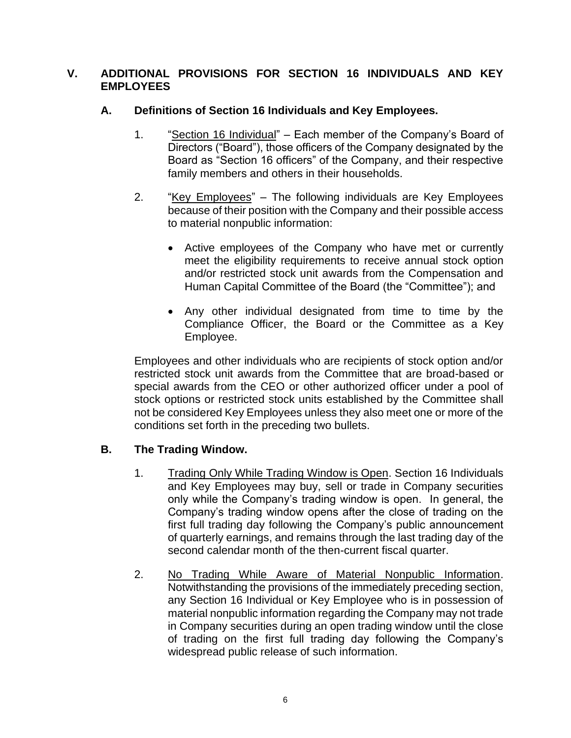### **V. ADDITIONAL PROVISIONS FOR SECTION 16 INDIVIDUALS AND KEY EMPLOYEES**

## **A. Definitions of Section 16 Individuals and Key Employees.**

- 1. "Section 16 Individual" Each member of the Company's Board of Directors ("Board"), those officers of the Company designated by the Board as "Section 16 officers" of the Company, and their respective family members and others in their households.
- 2. "Key Employees" The following individuals are Key Employees because of their position with the Company and their possible access to material nonpublic information:
	- Active employees of the Company who have met or currently meet the eligibility requirements to receive annual stock option and/or restricted stock unit awards from the Compensation and Human Capital Committee of the Board (the "Committee"); and
	- Any other individual designated from time to time by the Compliance Officer, the Board or the Committee as a Key Employee.

Employees and other individuals who are recipients of stock option and/or restricted stock unit awards from the Committee that are broad-based or special awards from the CEO or other authorized officer under a pool of stock options or restricted stock units established by the Committee shall not be considered Key Employees unless they also meet one or more of the conditions set forth in the preceding two bullets.

# **B. The Trading Window.**

- 1. Trading Only While Trading Window is Open. Section 16 Individuals and Key Employees may buy, sell or trade in Company securities only while the Company's trading window is open. In general, the Company's trading window opens after the close of trading on the first full trading day following the Company's public announcement of quarterly earnings, and remains through the last trading day of the second calendar month of the then-current fiscal quarter.
- 2. No Trading While Aware of Material Nonpublic Information. Notwithstanding the provisions of the immediately preceding section, any Section 16 Individual or Key Employee who is in possession of material nonpublic information regarding the Company may not trade in Company securities during an open trading window until the close of trading on the first full trading day following the Company's widespread public release of such information.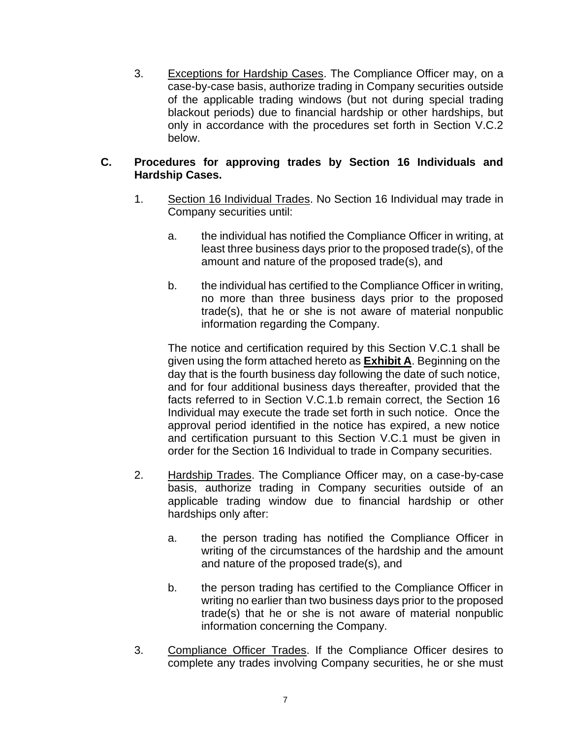3. Exceptions for Hardship Cases. The Compliance Officer may, on a case-by-case basis, authorize trading in Company securities outside of the applicable trading windows (but not during special trading blackout periods) due to financial hardship or other hardships, but only in accordance with the procedures set forth in Section V.C.2 below.

# **C. Procedures for approving trades by Section 16 Individuals and Hardship Cases.**

- 1. Section 16 Individual Trades. No Section 16 Individual may trade in Company securities until:
	- a. the individual has notified the Compliance Officer in writing, at least three business days prior to the proposed trade(s), of the amount and nature of the proposed trade(s), and
	- b. the individual has certified to the Compliance Officer in writing, no more than three business days prior to the proposed trade(s), that he or she is not aware of material nonpublic information regarding the Company.

The notice and certification required by this Section V.C.1 shall be given using the form attached hereto as **Exhibit A**. Beginning on the day that is the fourth business day following the date of such notice, and for four additional business days thereafter, provided that the facts referred to in Section V.C.1.b remain correct, the Section 16 Individual may execute the trade set forth in such notice. Once the approval period identified in the notice has expired, a new notice and certification pursuant to this Section V.C.1 must be given in order for the Section 16 Individual to trade in Company securities.

- 2. Hardship Trades. The Compliance Officer may, on a case-by-case basis, authorize trading in Company securities outside of an applicable trading window due to financial hardship or other hardships only after:
	- a. the person trading has notified the Compliance Officer in writing of the circumstances of the hardship and the amount and nature of the proposed trade(s), and
	- b. the person trading has certified to the Compliance Officer in writing no earlier than two business days prior to the proposed trade(s) that he or she is not aware of material nonpublic information concerning the Company.
- 3. Compliance Officer Trades. If the Compliance Officer desires to complete any trades involving Company securities, he or she must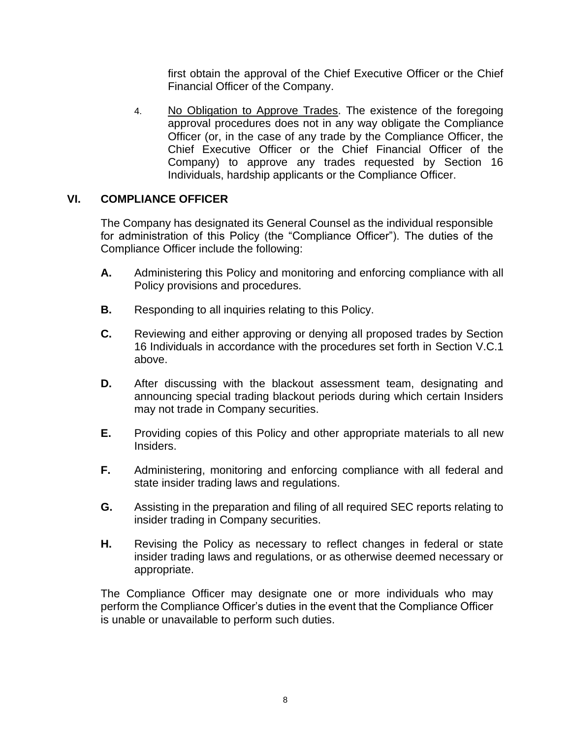first obtain the approval of the Chief Executive Officer or the Chief Financial Officer of the Company.

4. No Obligation to Approve Trades. The existence of the foregoing approval procedures does not in any way obligate the Compliance Officer (or, in the case of any trade by the Compliance Officer, the Chief Executive Officer or the Chief Financial Officer of the Company) to approve any trades requested by Section 16 Individuals, hardship applicants or the Compliance Officer.

### **VI. COMPLIANCE OFFICER**

The Company has designated its General Counsel as the individual responsible for administration of this Policy (the "Compliance Officer"). The duties of the Compliance Officer include the following:

- **A.** Administering this Policy and monitoring and enforcing compliance with all Policy provisions and procedures.
- **B.** Responding to all inquiries relating to this Policy.
- **C.** Reviewing and either approving or denying all proposed trades by Section 16 Individuals in accordance with the procedures set forth in Section V.C.1 above.
- **D.** After discussing with the blackout assessment team, designating and announcing special trading blackout periods during which certain Insiders may not trade in Company securities.
- **E.** Providing copies of this Policy and other appropriate materials to all new Insiders.
- **F.** Administering, monitoring and enforcing compliance with all federal and state insider trading laws and regulations.
- **G.** Assisting in the preparation and filing of all required SEC reports relating to insider trading in Company securities.
- **H.** Revising the Policy as necessary to reflect changes in federal or state insider trading laws and regulations, or as otherwise deemed necessary or appropriate.

The Compliance Officer may designate one or more individuals who may perform the Compliance Officer's duties in the event that the Compliance Officer is unable or unavailable to perform such duties.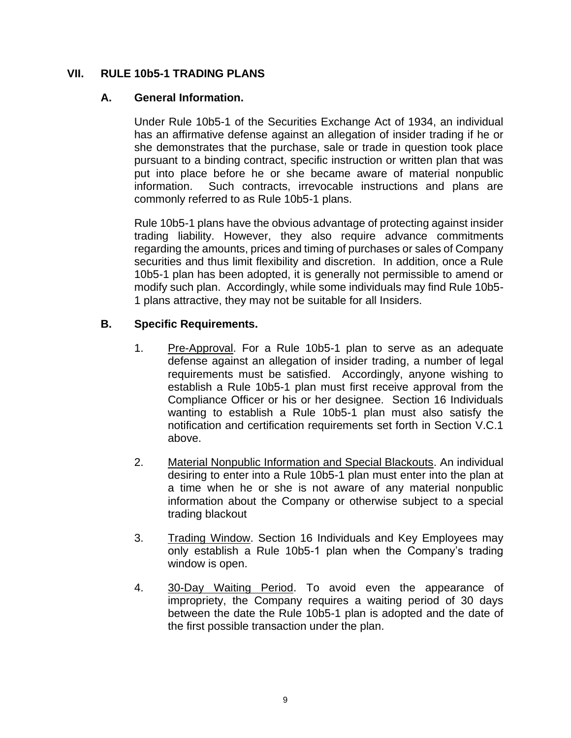### **VII. RULE 10b5-1 TRADING PLANS**

### **A. General Information.**

Under Rule 10b5-1 of the Securities Exchange Act of 1934, an individual has an affirmative defense against an allegation of insider trading if he or she demonstrates that the purchase, sale or trade in question took place pursuant to a binding contract, specific instruction or written plan that was put into place before he or she became aware of material nonpublic information. Such contracts, irrevocable instructions and plans are commonly referred to as Rule 10b5-1 plans.

Rule 10b5-1 plans have the obvious advantage of protecting against insider trading liability. However, they also require advance commitments regarding the amounts, prices and timing of purchases or sales of Company securities and thus limit flexibility and discretion. In addition, once a Rule 10b5-1 plan has been adopted, it is generally not permissible to amend or modify such plan. Accordingly, while some individuals may find Rule 10b5- 1 plans attractive, they may not be suitable for all Insiders.

### **B. Specific Requirements.**

- 1. Pre-Approval. For a Rule 10b5-1 plan to serve as an adequate defense against an allegation of insider trading, a number of legal requirements must be satisfied. Accordingly, anyone wishing to establish a Rule 10b5-1 plan must first receive approval from the Compliance Officer or his or her designee. Section 16 Individuals wanting to establish a Rule 10b5-1 plan must also satisfy the notification and certification requirements set forth in Section V.C.1 above.
- 2. Material Nonpublic Information and Special Blackouts. An individual desiring to enter into a Rule 10b5-1 plan must enter into the plan at a time when he or she is not aware of any material nonpublic information about the Company or otherwise subject to a special trading blackout
- 3. Trading Window. Section 16 Individuals and Key Employees may only establish a Rule 10b5-1 plan when the Company's trading window is open.
- 4. 30-Day Waiting Period. To avoid even the appearance of impropriety, the Company requires a waiting period of 30 days between the date the Rule 10b5-1 plan is adopted and the date of the first possible transaction under the plan.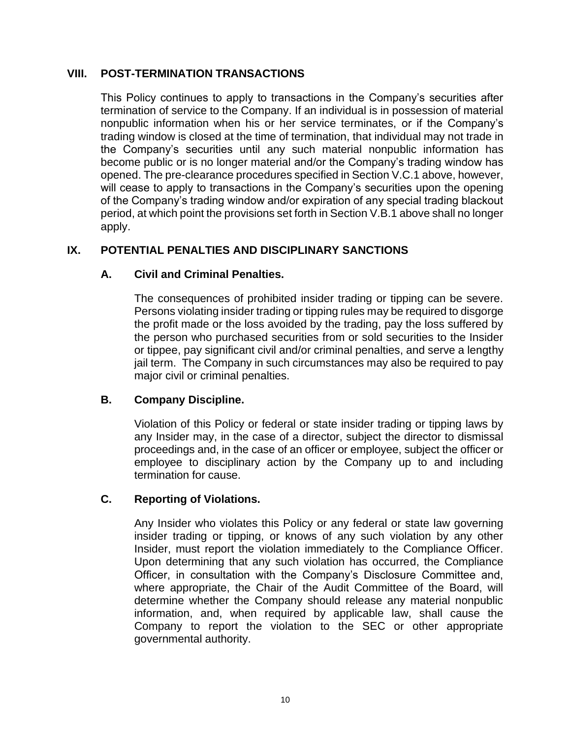### **VIII. POST-TERMINATION TRANSACTIONS**

This Policy continues to apply to transactions in the Company's securities after termination of service to the Company. If an individual is in possession of material nonpublic information when his or her service terminates, or if the Company's trading window is closed at the time of termination, that individual may not trade in the Company's securities until any such material nonpublic information has become public or is no longer material and/or the Company's trading window has opened. The pre-clearance procedures specified in Section V.C.1 above, however, will cease to apply to transactions in the Company's securities upon the opening of the Company's trading window and/or expiration of any special trading blackout period, at which point the provisions set forth in Section V.B.1 above shall no longer apply.

# **IX. POTENTIAL PENALTIES AND DISCIPLINARY SANCTIONS**

# **A. Civil and Criminal Penalties.**

The consequences of prohibited insider trading or tipping can be severe. Persons violating insider trading or tipping rules may be required to disgorge the profit made or the loss avoided by the trading, pay the loss suffered by the person who purchased securities from or sold securities to the Insider or tippee, pay significant civil and/or criminal penalties, and serve a lengthy jail term. The Company in such circumstances may also be required to pay major civil or criminal penalties.

# **B. Company Discipline.**

Violation of this Policy or federal or state insider trading or tipping laws by any Insider may, in the case of a director, subject the director to dismissal proceedings and, in the case of an officer or employee, subject the officer or employee to disciplinary action by the Company up to and including termination for cause.

### **C. Reporting of Violations.**

Any Insider who violates this Policy or any federal or state law governing insider trading or tipping, or knows of any such violation by any other Insider, must report the violation immediately to the Compliance Officer. Upon determining that any such violation has occurred, the Compliance Officer, in consultation with the Company's Disclosure Committee and, where appropriate, the Chair of the Audit Committee of the Board, will determine whether the Company should release any material nonpublic information, and, when required by applicable law, shall cause the Company to report the violation to the SEC or other appropriate governmental authority.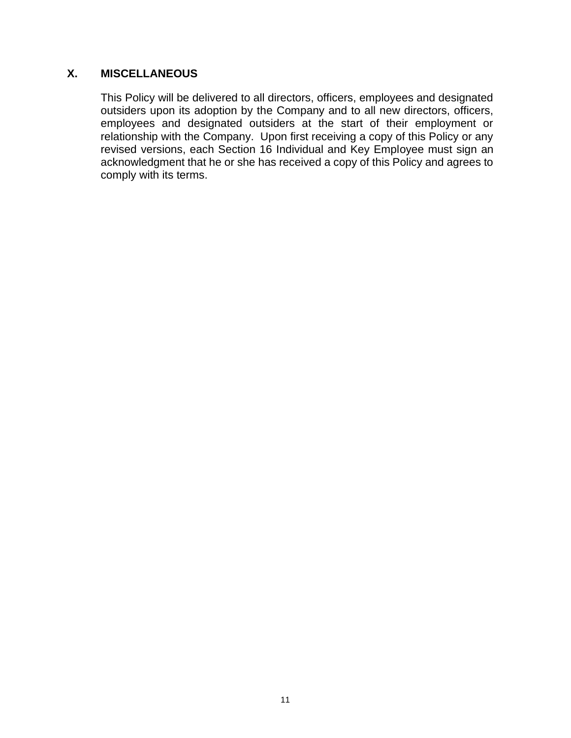# **X. MISCELLANEOUS**

This Policy will be delivered to all directors, officers, employees and designated outsiders upon its adoption by the Company and to all new directors, officers, employees and designated outsiders at the start of their employment or relationship with the Company. Upon first receiving a copy of this Policy or any revised versions, each Section 16 Individual and Key Employee must sign an acknowledgment that he or she has received a copy of this Policy and agrees to comply with its terms.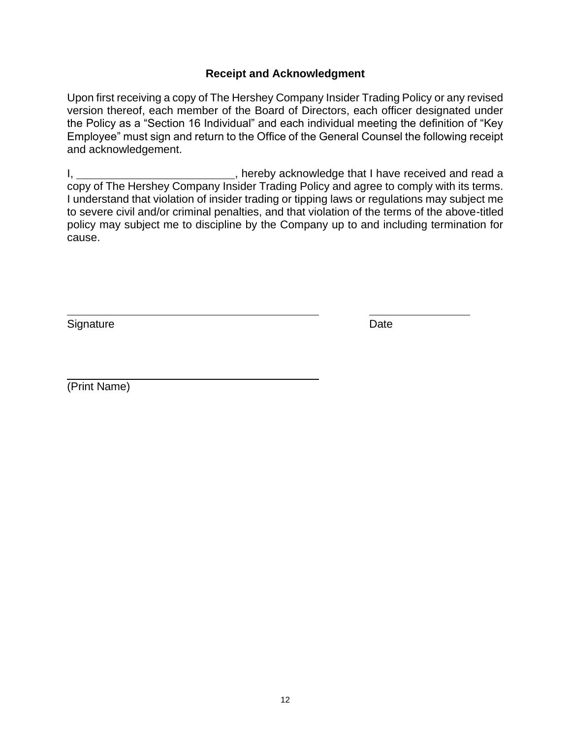### **Receipt and Acknowledgment**

Upon first receiving a copy of The Hershey Company Insider Trading Policy or any revised version thereof, each member of the Board of Directors, each officer designated under the Policy as a "Section 16 Individual" and each individual meeting the definition of "Key Employee" must sign and return to the Office of the General Counsel the following receipt and acknowledgement.

I, 1. All 2012 (1) the set of the control of the U.S. of the U.S. in the control of the U.S. in the control of the U.S. in the U.S. in the control of the U.S. in the U.S. in the control of the U.S. in the control of the U. copy of The Hershey Company Insider Trading Policy and agree to comply with its terms. I understand that violation of insider trading or tipping laws or regulations may subject me to severe civil and/or criminal penalties, and that violation of the terms of the above-titled policy may subject me to discipline by the Company up to and including termination for cause.

Signature Date **Date** 

(Print Name)